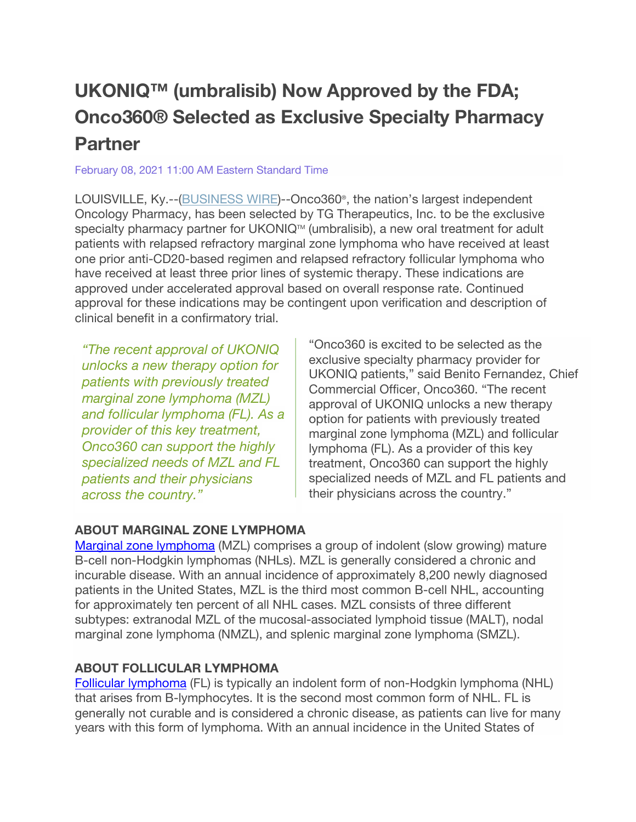# **UKONIQ™ (umbralisib) Now Approved by the FDA; Onco360® Selected as Exclusive Specialty Pharmacy Partner**

#### February 08, 2021 11:00 AM Eastern Standard Time

LOUISVILLE, Ky.--(BUSINESS WIRE)--Onco360®, the nation's largest independent Oncology Pharmacy, has been selected by TG Therapeutics, Inc. to be the exclusive specialty pharmacy partner for UKONIQ™ (umbralisib), a new oral treatment for adult patients with relapsed refractory marginal zone lymphoma who have received at least one prior anti-CD20-based regimen and relapsed refractory follicular lymphoma who have received at least three prior lines of systemic therapy. These indications are approved under accelerated approval based on overall response rate. Continued approval for these indications may be contingent upon verification and description of clinical benefit in a confirmatory trial.

 *across the country." "The recent approval of UKONIQ unlocks a new therapy option for patients with previously treated marginal zone lymphoma (MZL) and follicular lymphoma (FL). As a provider of this key treatment, Onco360 can support the highly specialized needs of MZL and FL patients and their physicians* 

"Onco360 is excited to be selected as the exclusive specialty pharmacy provider for UKONIQ patients," said Benito Fernandez, Chief Commercial Officer, Onco360. "The recent approval of UKONIQ unlocks a new therapy option for patients with previously treated marginal zone lymphoma (MZL) and follicular lymphoma (FL). As a provider of this key treatment, Onco360 can support the highly specialized needs of MZL and FL patients and their physicians across the country."

#### **ABOUT MARGINAL ZONE LYMPHOMA**

Marginal zone lymphoma (MZL) comprises a group of indolent (slow growing) mature B-cell non-Hodgkin lymphomas (NHLs). MZL is generally considered a chronic and incurable disease. With an annual incidence of approximately 8,200 newly diagnosed patients in the United States, MZL is the third most common B-cell NHL, accounting for approximately ten percent of all NHL cases. MZL consists of three different subtypes: extranodal MZL of the mucosal-associated lymphoid tissue (MALT), nodal marginal zone lymphoma (NMZL), and splenic marginal zone lymphoma (SMZL).

## **ABOUT FOLLICULAR LYMPHOMA**

Follicular lymphoma (FL) is typically an indolent form of non-Hodgkin lymphoma (NHL) that arises from B-lymphocytes. It is the second most common form of NHL. FL is generally not curable and is considered a chronic disease, as patients can live for many years with this form of lymphoma. With an annual incidence in the United States of